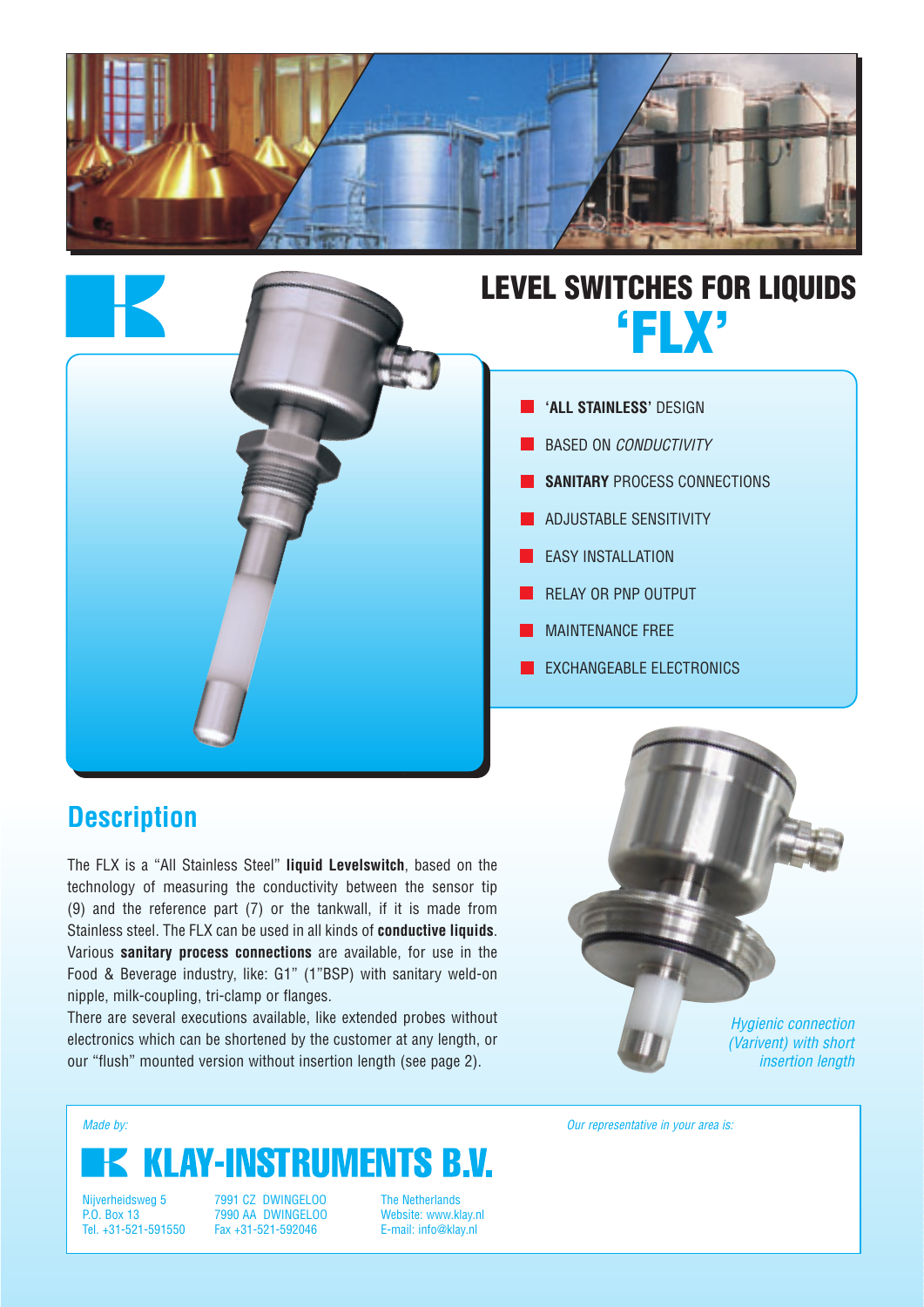

## **LEVEL SWITCHES FOR LIQUIDS 'FLX'**



- BASED ON CONDUCTIVITY
- **SANITARY** PROCESS CONNECTIONS
- ADJUSTABLE SENSITIVITY
- **EASY INSTALLATION**
- RELAY OR PNP OUTPUT
- MAINTENANCE FREE
- EXCHANGEABLE ELECTRONICS

## **Description**

The FLX is a "All Stainless Steel" **liquid Levelswitch**, based on the technology of measuring the conductivity between the sensor tip (9) and the reference part (7) or the tankwall, if it is made from Stainless steel. The FLX can be used in all kinds of **conductive liquids**. Various **sanitary process connections** are available, for use in the Food & Beverage industry, like: G1" (1"BSP) with sanitary weld-on nipple, milk-coupling, tri-clamp or flanges.

There are several executions available, like extended probes without electronics which can be shortened by the customer at any length, or our "flush" mounted version without insertion length (see page 2).

Hygienic connection (Varivent) with short insertion length

# **KLAY-INSTRUMENTS B.V.**

Nijverheidsweg 5 P.O. Box 13 Tel. +31-521-591550

7991 CZ DWINGELOO 7990 AA DWINGELOO Fax +31-521-592046

The Netherlands Website: www.klay.nl E-mail: info@klay.nl

Made by: **Made by: Our representative in your area is: Our representative in your area is:**